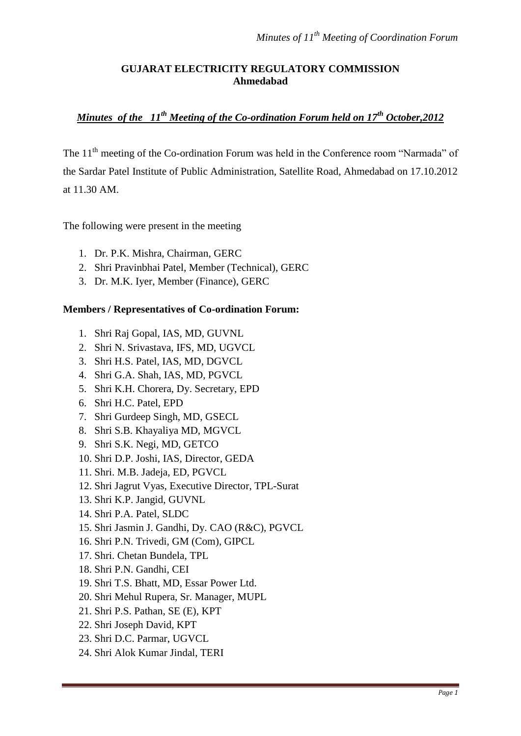# **GUJARAT ELECTRICITY REGULATORY COMMISSION Ahmedabad**

# *Minutes of the 11th Meeting of the Co-ordination Forum held on 17th October,2012*

The 11<sup>th</sup> meeting of the Co-ordination Forum was held in the Conference room "Narmada" of the Sardar Patel Institute of Public Administration, Satellite Road, Ahmedabad on 17.10.2012 at 11.30 AM.

The following were present in the meeting

- 1. Dr. P.K. Mishra, Chairman, GERC
- 2. Shri Pravinbhai Patel, Member (Technical), GERC
- 3. Dr. M.K. Iyer, Member (Finance), GERC

# **Members / Representatives of Co-ordination Forum:**

- 1. Shri Raj Gopal, IAS, MD, GUVNL
- 2. Shri N. Srivastava, IFS, MD, UGVCL
- 3. Shri H.S. Patel, IAS, MD, DGVCL
- 4. Shri G.A. Shah, IAS, MD, PGVCL
- 5. Shri K.H. Chorera, Dy. Secretary, EPD
- 6. Shri H.C. Patel, EPD
- 7. Shri Gurdeep Singh, MD, GSECL
- 8. Shri S.B. Khayaliya MD, MGVCL
- 9. Shri S.K. Negi, MD, GETCO
- 10. Shri D.P. Joshi, IAS, Director, GEDA
- 11. Shri. M.B. Jadeja, ED, PGVCL
- 12. Shri Jagrut Vyas, Executive Director, TPL-Surat
- 13. Shri K.P. Jangid, GUVNL
- 14. Shri P.A. Patel, SLDC
- 15. Shri Jasmin J. Gandhi, Dy. CAO (R&C), PGVCL
- 16. Shri P.N. Trivedi, GM (Com), GIPCL
- 17. Shri. Chetan Bundela, TPL
- 18. Shri P.N. Gandhi, CEI
- 19. Shri T.S. Bhatt, MD, Essar Power Ltd.
- 20. Shri Mehul Rupera, Sr. Manager, MUPL
- 21. Shri P.S. Pathan, SE (E), KPT
- 22. Shri Joseph David, KPT
- 23. Shri D.C. Parmar, UGVCL
- 24. Shri Alok Kumar Jindal, TERI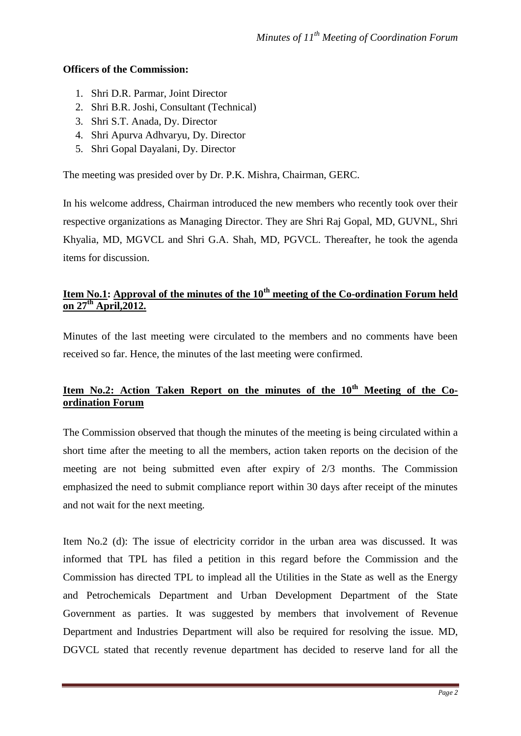### **Officers of the Commission:**

- 1. Shri D.R. Parmar, Joint Director
- 2. Shri B.R. Joshi, Consultant (Technical)
- 3. Shri S.T. Anada, Dy. Director
- 4. Shri Apurva Adhvaryu, Dy. Director
- 5. Shri Gopal Dayalani, Dy. Director

The meeting was presided over by Dr. P.K. Mishra, Chairman, GERC.

In his welcome address, Chairman introduced the new members who recently took over their respective organizations as Managing Director. They are Shri Raj Gopal, MD, GUVNL, Shri Khyalia, MD, MGVCL and Shri G.A. Shah, MD, PGVCL. Thereafter, he took the agenda items for discussion.

# **Item No.1: Approval of the minutes of the 10th meeting of the Co-ordination Forum held on 27th April,2012.**

Minutes of the last meeting were circulated to the members and no comments have been received so far. Hence, the minutes of the last meeting were confirmed.

# **Item No.2: Action Taken Report on the minutes of the 10th Meeting of the Coordination Forum**

The Commission observed that though the minutes of the meeting is being circulated within a short time after the meeting to all the members, action taken reports on the decision of the meeting are not being submitted even after expiry of 2/3 months. The Commission emphasized the need to submit compliance report within 30 days after receipt of the minutes and not wait for the next meeting.

Item No.2 (d): The issue of electricity corridor in the urban area was discussed. It was informed that TPL has filed a petition in this regard before the Commission and the Commission has directed TPL to implead all the Utilities in the State as well as the Energy and Petrochemicals Department and Urban Development Department of the State Government as parties. It was suggested by members that involvement of Revenue Department and Industries Department will also be required for resolving the issue. MD, DGVCL stated that recently revenue department has decided to reserve land for all the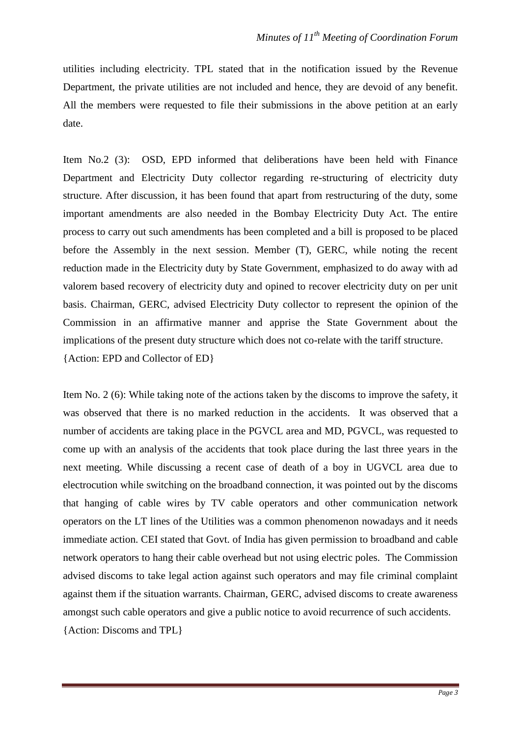utilities including electricity. TPL stated that in the notification issued by the Revenue Department, the private utilities are not included and hence, they are devoid of any benefit. All the members were requested to file their submissions in the above petition at an early date.

Item No.2 (3): OSD, EPD informed that deliberations have been held with Finance Department and Electricity Duty collector regarding re-structuring of electricity duty structure. After discussion, it has been found that apart from restructuring of the duty, some important amendments are also needed in the Bombay Electricity Duty Act. The entire process to carry out such amendments has been completed and a bill is proposed to be placed before the Assembly in the next session. Member (T), GERC, while noting the recent reduction made in the Electricity duty by State Government, emphasized to do away with ad valorem based recovery of electricity duty and opined to recover electricity duty on per unit basis. Chairman, GERC, advised Electricity Duty collector to represent the opinion of the Commission in an affirmative manner and apprise the State Government about the implications of the present duty structure which does not co-relate with the tariff structure. {Action: EPD and Collector of ED}

Item No. 2 (6): While taking note of the actions taken by the discoms to improve the safety, it was observed that there is no marked reduction in the accidents. It was observed that a number of accidents are taking place in the PGVCL area and MD, PGVCL, was requested to come up with an analysis of the accidents that took place during the last three years in the next meeting. While discussing a recent case of death of a boy in UGVCL area due to electrocution while switching on the broadband connection, it was pointed out by the discoms that hanging of cable wires by TV cable operators and other communication network operators on the LT lines of the Utilities was a common phenomenon nowadays and it needs immediate action. CEI stated that Govt. of India has given permission to broadband and cable network operators to hang their cable overhead but not using electric poles. The Commission advised discoms to take legal action against such operators and may file criminal complaint against them if the situation warrants. Chairman, GERC, advised discoms to create awareness amongst such cable operators and give a public notice to avoid recurrence of such accidents. {Action: Discoms and TPL}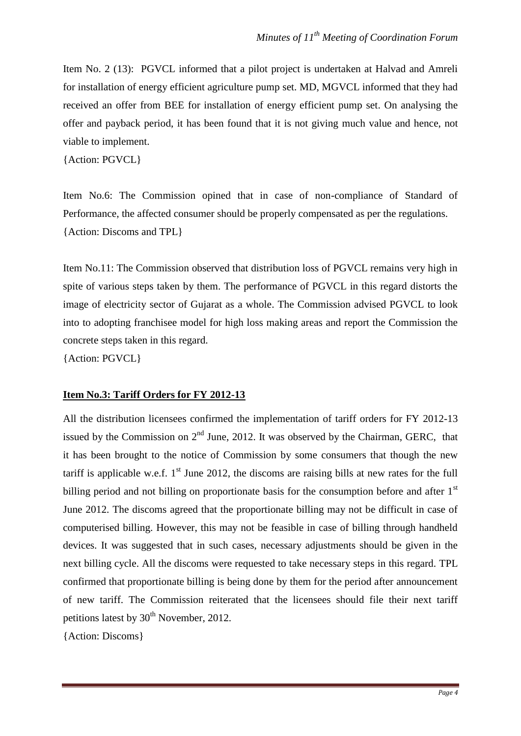Item No. 2 (13): PGVCL informed that a pilot project is undertaken at Halvad and Amreli for installation of energy efficient agriculture pump set. MD, MGVCL informed that they had received an offer from BEE for installation of energy efficient pump set. On analysing the offer and payback period, it has been found that it is not giving much value and hence, not viable to implement.

{Action: PGVCL}

Item No.6: The Commission opined that in case of non-compliance of Standard of Performance, the affected consumer should be properly compensated as per the regulations. {Action: Discoms and TPL}

Item No.11: The Commission observed that distribution loss of PGVCL remains very high in spite of various steps taken by them. The performance of PGVCL in this regard distorts the image of electricity sector of Gujarat as a whole. The Commission advised PGVCL to look into to adopting franchisee model for high loss making areas and report the Commission the concrete steps taken in this regard.

{Action: PGVCL}

#### **Item No.3: Tariff Orders for FY 2012-13**

All the distribution licensees confirmed the implementation of tariff orders for FY 2012-13 issued by the Commission on  $2<sup>nd</sup>$  June, 2012. It was observed by the Chairman, GERC, that it has been brought to the notice of Commission by some consumers that though the new tariff is applicable w.e.f.  $1<sup>st</sup>$  June 2012, the discoms are raising bills at new rates for the full billing period and not billing on proportionate basis for the consumption before and after  $1<sup>st</sup>$ June 2012. The discoms agreed that the proportionate billing may not be difficult in case of computerised billing. However, this may not be feasible in case of billing through handheld devices. It was suggested that in such cases, necessary adjustments should be given in the next billing cycle. All the discoms were requested to take necessary steps in this regard. TPL confirmed that proportionate billing is being done by them for the period after announcement of new tariff. The Commission reiterated that the licensees should file their next tariff petitions latest by  $30<sup>th</sup>$  November, 2012.

{Action: Discoms}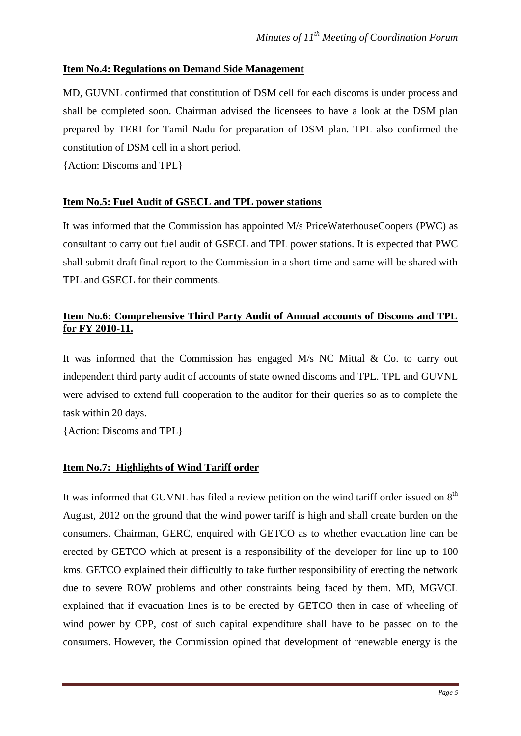# **Item No.4: Regulations on Demand Side Management**

MD, GUVNL confirmed that constitution of DSM cell for each discoms is under process and shall be completed soon. Chairman advised the licensees to have a look at the DSM plan prepared by TERI for Tamil Nadu for preparation of DSM plan. TPL also confirmed the constitution of DSM cell in a short period.

{Action: Discoms and TPL}

# **Item No.5: Fuel Audit of GSECL and TPL power stations**

It was informed that the Commission has appointed M/s PriceWaterhouseCoopers (PWC) as consultant to carry out fuel audit of GSECL and TPL power stations. It is expected that PWC shall submit draft final report to the Commission in a short time and same will be shared with TPL and GSECL for their comments.

# **Item No.6: Comprehensive Third Party Audit of Annual accounts of Discoms and TPL for FY 2010-11.**

It was informed that the Commission has engaged M/s NC Mittal & Co. to carry out independent third party audit of accounts of state owned discoms and TPL. TPL and GUVNL were advised to extend full cooperation to the auditor for their queries so as to complete the task within 20 days.

{Action: Discoms and TPL}

# **Item No.7: Highlights of Wind Tariff order**

It was informed that GUVNL has filed a review petition on the wind tariff order issued on  $8<sup>th</sup>$ August, 2012 on the ground that the wind power tariff is high and shall create burden on the consumers. Chairman, GERC, enquired with GETCO as to whether evacuation line can be erected by GETCO which at present is a responsibility of the developer for line up to 100 kms. GETCO explained their difficultly to take further responsibility of erecting the network due to severe ROW problems and other constraints being faced by them. MD, MGVCL explained that if evacuation lines is to be erected by GETCO then in case of wheeling of wind power by CPP, cost of such capital expenditure shall have to be passed on to the consumers. However, the Commission opined that development of renewable energy is the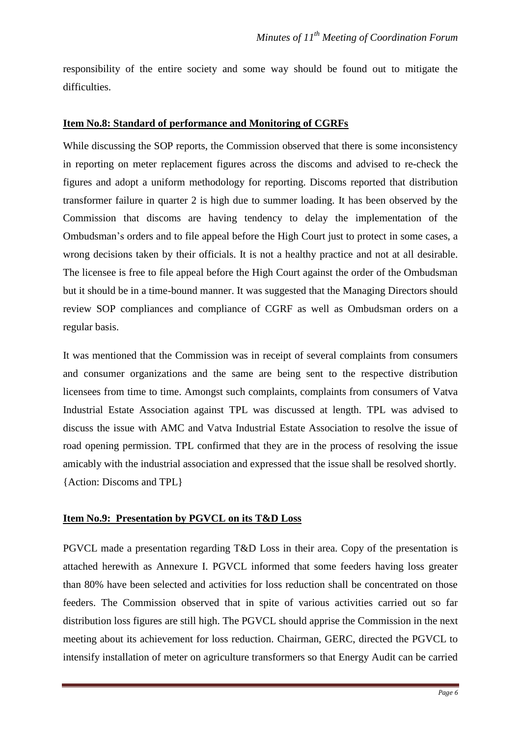responsibility of the entire society and some way should be found out to mitigate the difficulties.

#### **Item No.8: Standard of performance and Monitoring of CGRFs**

While discussing the SOP reports, the Commission observed that there is some inconsistency in reporting on meter replacement figures across the discoms and advised to re-check the figures and adopt a uniform methodology for reporting. Discoms reported that distribution transformer failure in quarter 2 is high due to summer loading. It has been observed by the Commission that discoms are having tendency to delay the implementation of the Ombudsman's orders and to file appeal before the High Court just to protect in some cases, a wrong decisions taken by their officials. It is not a healthy practice and not at all desirable. The licensee is free to file appeal before the High Court against the order of the Ombudsman but it should be in a time-bound manner. It was suggested that the Managing Directors should review SOP compliances and compliance of CGRF as well as Ombudsman orders on a regular basis.

It was mentioned that the Commission was in receipt of several complaints from consumers and consumer organizations and the same are being sent to the respective distribution licensees from time to time. Amongst such complaints, complaints from consumers of Vatva Industrial Estate Association against TPL was discussed at length. TPL was advised to discuss the issue with AMC and Vatva Industrial Estate Association to resolve the issue of road opening permission. TPL confirmed that they are in the process of resolving the issue amicably with the industrial association and expressed that the issue shall be resolved shortly. {Action: Discoms and TPL}

#### **Item No.9: Presentation by PGVCL on its T&D Loss**

PGVCL made a presentation regarding T&D Loss in their area. Copy of the presentation is attached herewith as Annexure I. PGVCL informed that some feeders having loss greater than 80% have been selected and activities for loss reduction shall be concentrated on those feeders. The Commission observed that in spite of various activities carried out so far distribution loss figures are still high. The PGVCL should apprise the Commission in the next meeting about its achievement for loss reduction. Chairman, GERC, directed the PGVCL to intensify installation of meter on agriculture transformers so that Energy Audit can be carried